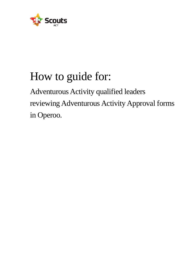

# How to guide for:

Adventurous Activity qualified leaders reviewing Adventurous Activity Approval forms in Operoo.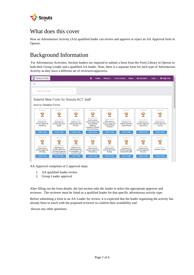

# What does this cover

How an Adventurous Activity (AA) qualified leader can review and approve or reject an AA Approval form in Operoo.

# Background Information

For Adventurous Activities, Section leaders are required to submit a form from the Form Library in Operoo to both their Group Leader and a qualified AA leader. Note, there is a separate form for each type of Adventurous Activity as they have a different set of reviewers/approvers.

| Operoo Home -                                                          |                                                                                                            |                                                                                                                 | ⊕<br>Home                                                                                                                                      | Recent $\sim$                                                                                            | <b>Form Library</b><br><b>News</b>                                                | My Account -                                                                  | Help $\sim$<br>$\mathbf{\Theta}$ Sign Out                                  |
|------------------------------------------------------------------------|------------------------------------------------------------------------------------------------------------|-----------------------------------------------------------------------------------------------------------------|------------------------------------------------------------------------------------------------------------------------------------------------|----------------------------------------------------------------------------------------------------------|-----------------------------------------------------------------------------------|-------------------------------------------------------------------------------|----------------------------------------------------------------------------|
|                                                                        |                                                                                                            |                                                                                                                 |                                                                                                                                                |                                                                                                          |                                                                                   |                                                                               |                                                                            |
| Search Form Library                                                    |                                                                                                            |                                                                                                                 |                                                                                                                                                |                                                                                                          |                                                                                   |                                                                               |                                                                            |
|                                                                        | Submit New Form for Scouts ACT staff                                                                       |                                                                                                                 |                                                                                                                                                |                                                                                                          |                                                                                   |                                                                               |                                                                            |
| <b>Activity Related Forms</b>                                          |                                                                                                            |                                                                                                                 |                                                                                                                                                |                                                                                                          |                                                                                   |                                                                               |                                                                            |
| <b>Scouts ACT</b>                                                      | <b>Scouts ACT</b>                                                                                          | <b>Scouts ACT</b>                                                                                               | <b>Scouts ACT</b>                                                                                                                              | <b>Scouts ACT</b>                                                                                        | <b>Scouts ACT</b>                                                                 | <b>Scouts ACT</b>                                                             | <b>Scouts ACT</b>                                                          |
| <b>Scouts</b>                                                          | <b>Scouts</b>                                                                                              | <b>Scouts</b>                                                                                                   | <b>Scouts</b>                                                                                                                                  | <b>Scouts</b>                                                                                            | <b>Scouts</b>                                                                     | <b>Scouts</b>                                                                 | <b>Scouts</b>                                                              |
| Andrew Gibson<br>Adventurous<br><b>Activity Approval-</b><br>Abseiling | Andrew Gibson<br>Adventurous<br><b>Activity Approval-</b><br>Alpine                                        | Andrew Gibson<br><b>Adventurous</b><br><b>Activity Approval-</b><br>Archery                                     | Andrew Gibson<br>Adventurous<br><b>Activity Approval-</b><br><b>Bushwalking</b><br>(Difficult.<br><b>Extremely Difficult</b><br>and Untracked) | <b>Andrew Gibson</b><br>Adventurous<br><b>Activity Approval-</b><br><b>Bushwalking</b><br><b>Tracked</b> | Andrew Gibson<br>Adventurous<br><b>Activity Approval-</b><br>Canoe/Kayak          | Andrew Gibson<br><b>Adventurous</b><br><b>Activity Approval-</b><br>Canvoning | Andrew Gibson<br><b>Adventurous</b><br><b>Activity Approval-</b><br>Caving |
| <b>START FORM</b>                                                      | <b>START FORM</b>                                                                                          | <b>START FORM</b>                                                                                               | <b>START FORM</b>                                                                                                                              | <b>START FORM</b>                                                                                        | <b>START FORM</b>                                                                 | <b>START FORM</b>                                                             | <b>START FORM</b>                                                          |
| <b>Scouts ACT</b>                                                      | <b>Scouts ACT</b>                                                                                          | <b>Scouts ACT</b>                                                                                               | <b>Scouts ACT</b>                                                                                                                              | <b>Scouts ACT</b>                                                                                        | <b>Scouts ACT</b>                                                                 | <b>Scouts ACT</b>                                                             | <b>Scouts ACT</b>                                                          |
| <b>Scouts</b>                                                          | <b>Scouts</b>                                                                                              | <b>Scouts</b>                                                                                                   | <b>Scouts</b>                                                                                                                                  | <b>Scouts</b>                                                                                            | <b>Scouts</b>                                                                     | <b>Scouts</b>                                                                 | <b>Scouts</b>                                                              |
| Andrew Gibson<br>Adventurous<br><b>Activity Approval-</b><br>Climbina  | <b>Andrew Gibson</b><br>Adventurous<br><b>Activity Approval-</b><br>Cycling Advanced<br>(On-road/Off-road) | <b>Andrew Gibson</b><br>Adventurous<br><b>Activity Approval-</b><br><b>Cycling Basic (On-</b><br>road/Off-road) | Andrew Gibson<br>Adventurous<br><b>Activity Approval-</b><br>Pioneering                                                                        | <b>Andrew Gibson</b><br>Adventurous<br><b>Activity Approval-</b><br>Sailing                              | <b>Andrew Gibson</b><br>Adventurous<br><b>Activity Approval-</b><br>Snorkel/SCUBA | <b>Andrew Gibson</b><br>Adventurous<br><b>Activity Approval-</b><br>Survival  | <b>Andrew Gibson</b><br><b>Incident Report</b>                             |
| <b>START FORM</b>                                                      | <b>START FORM</b>                                                                                          | <b>START FORM</b>                                                                                               | <b>START FORM</b>                                                                                                                              | <b>START FORM</b>                                                                                        | <b>START FORM</b>                                                                 | <b>START FORM</b>                                                             | <b>START FORM</b>                                                          |

AA Approval comprises of 2 approval steps:

- 1. AA qualified leader review
- 2. Group Leader approval

After filling out the form details, the last section asks the leader to select the appropriate approver and reviewer. The reviewer must be listed as a qualified leader for that specific adventurous activity type.

Before submitting a form to an AA Leader for review, it is expected that the leader organising the activity has already been in touch with the proposed reviewer to confirm their availability and

discuss any other questions.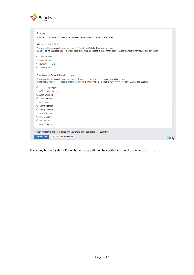

|                                            | Please select the appropriate approvers from the Adventurous Activity Review group below.<br>Before selecting a qualified leader to review this activity, it is best practice to contact them beforehand for their preliminary advice and agreement |
|--------------------------------------------|-----------------------------------------------------------------------------------------------------------------------------------------------------------------------------------------------------------------------------------------------------|
| ◯ Andrew Gibson                            |                                                                                                                                                                                                                                                     |
| O Andrew Palm                              |                                                                                                                                                                                                                                                     |
| Richard MILCZAREK                          |                                                                                                                                                                                                                                                     |
| ○ Samuel Boak                              |                                                                                                                                                                                                                                                     |
| Group Leader or Rover Unit Leader approval |                                                                                                                                                                                                                                                     |
|                                            | Please select the appropriate approvers from the Group Leader or Rover Unit Leader approval group below.                                                                                                                                            |
|                                            | Select your Group Leader. If this is a multi-Group or Branch level activity, please select ACC - Youth Program or ACC Group Support                                                                                                                 |
| ○ ACC - Group Support                      |                                                                                                                                                                                                                                                     |
| ○ ACC - Youth Program                      |                                                                                                                                                                                                                                                     |
| $\bigcirc$ Adam Sheppard                   |                                                                                                                                                                                                                                                     |
| <b>Andrew Gibson</b><br>◯                  |                                                                                                                                                                                                                                                     |
|                                            |                                                                                                                                                                                                                                                     |
| $\bigcirc$ Ayla Jones                      |                                                                                                                                                                                                                                                     |
| ○ Emma Georgiou                            |                                                                                                                                                                                                                                                     |
| $\bigcirc$ Felicity McNeice                |                                                                                                                                                                                                                                                     |
| <b>Hamish McNeice</b>                      |                                                                                                                                                                                                                                                     |
| Luke O'Connor                              |                                                                                                                                                                                                                                                     |
| $\bigcirc$ Rachael Dean                    |                                                                                                                                                                                                                                                     |

Once they hit the "Submit Form" button, you will then be notified via email to review the form.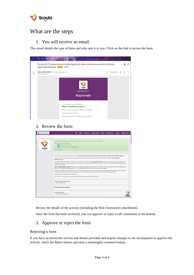

## What are the steps

1. You will receive an email.

This email details the type of form and who sent it to you. Click on the link to access the form.



## 2. Review the form

| Operoo Home - | <b>□ Sign Out</b><br>Recent -<br>Form Library<br>My Account -<br>Help $\sim$<br>Home<br><b>News</b>                                                                                                                                                                                                                                                                               |  |  |  |  |  |  |  |
|---------------|-----------------------------------------------------------------------------------------------------------------------------------------------------------------------------------------------------------------------------------------------------------------------------------------------------------------------------------------------------------------------------------|--|--|--|--|--|--|--|
|               |                                                                                                                                                                                                                                                                                                                                                                                   |  |  |  |  |  |  |  |
|               | Staff eForm Submitted by: Andrew Gibson, andrew gibson@scoutsact.com.au on 16 Dec 2021 at 11:40 AM AEDT<br>This form has the following approvals<br>Adventurous Activity Review<br>2. Group Leader or Rover Unit Leader approval<br>Pending approval                                                                                                                              |  |  |  |  |  |  |  |
|               | This is an Adventurous Activity approval form for Alpine (cross country skiing, snow shoeing, Snowboarding, Snow Play, Snow Shoeing, General).<br>This activity must be conducted under the responsibility of an appropriately qualified Scouting Leader, holding at a minimum a Scout Appointed                                                                                  |  |  |  |  |  |  |  |
|               | Guide qualification.<br>This activity plan will be reviewed by a Scouting Leader, holding at a minimum a Scout Appointed Guide qualification, to ensure the activity planned meets<br>guidelines. All adventurous activity plans must be reviewed by an appropriately qualified Scouting Leader. A Leader holding the appropriate qualification may<br>review their own activity. |  |  |  |  |  |  |  |
|               | Who is 'appropriately qualified'? Always check the Qualified Leaders and Mentors lists on the Scouts ACT website before planning any Adventurous<br>Activity, or commencing an AA approval form. The Qualified Leaders and Mentors list is continuously updated.                                                                                                                  |  |  |  |  |  |  |  |
|               | Adventurous Activities are wide and varied. Scouts ACT has Leaders qualified to conduct activities in the following program areas: Alpine, Archery, Bushcraft,<br>Bushwalking, Cance, Canyoning, Caving, Climbing, Cycling, Kayak, Flying, Pioneering, Sailing, Survival, SCUBA/Snorkelling and 4WD.                                                                              |  |  |  |  |  |  |  |
|               | Please complete a separate form for each activity.                                                                                                                                                                                                                                                                                                                                |  |  |  |  |  |  |  |
|               | If you have any questions please contact the Adventurous Activity team on aa@scoutsact.com.au                                                                                                                                                                                                                                                                                     |  |  |  |  |  |  |  |
|               | Select the type of Alpine activity<br><b>Cross Country Skiing</b>                                                                                                                                                                                                                                                                                                                 |  |  |  |  |  |  |  |
|               | <b>Planned Activity Details</b>                                                                                                                                                                                                                                                                                                                                                   |  |  |  |  |  |  |  |
|               | <b>Activity Description</b><br>Charlottes Pass weekend trip                                                                                                                                                                                                                                                                                                                       |  |  |  |  |  |  |  |

Review the details of the activity (including the Risk Assessment attachment).

Once the form has been reviewed, you can approve or reject (with comments) at the bottom.

### 3. Approve or reject the form

#### Rejecting a form

If you have reviewed the activity and details provided and require changes or are not prepared to approve the activity, check the Reject button and enter a meaningful comment/reason.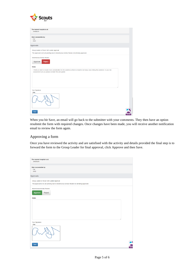

| The nearest hospital is at:<br>Jindabyne                                                                                                                                                  |  |
|-------------------------------------------------------------------------------------------------------------------------------------------------------------------------------------------|--|
|                                                                                                                                                                                           |  |
| Site is accessible by:<br>Car<br>4WD                                                                                                                                                      |  |
| Approvals                                                                                                                                                                                 |  |
| Group Leader or Rover Unit Leader approval<br>This approval is not yet pending due to Adventurous Activity Review not all being approved.                                                 |  |
| Adventurous Activity Review                                                                                                                                                               |  |
| Approve<br>Reject                                                                                                                                                                         |  |
|                                                                                                                                                                                           |  |
| <b>Notes</b>                                                                                                                                                                              |  |
| I think we need to include more consideration for the weather as there is meant to be heavy snow falling this weekend. In your risk<br>assessment can you please consider this and update |  |
| Your Signature                                                                                                                                                                            |  |
| Clear                                                                                                                                                                                     |  |
| Save                                                                                                                                                                                      |  |

When you hit Save, an email will go back to the submitter with your comments. They then have an option resubmit the form with required changes. Once changes have been made, you will receive another notification email to review the form again.

#### Approving a form

Once you have reviewed the activity and are satisfised with the activity and details provided the final step is to forward the form to the Group Leader for final approval, click Approve and then Save.

| The nearest hospital is at:<br>Jindabyne                                                                                                  |              |
|-------------------------------------------------------------------------------------------------------------------------------------------|--------------|
| Site is accessible by:<br>Car<br>4WD                                                                                                      |              |
| Approvals                                                                                                                                 |              |
| Group Leader or Rover Unit Leader approval<br>This approval is not yet pending due to Adventurous Activity Review not all being approved. |              |
| <b>Adventurous Activity Review</b><br>Approve<br>Reject                                                                                   |              |
| <b>Notes</b>                                                                                                                              |              |
|                                                                                                                                           |              |
| Your Signature<br>Clear                                                                                                                   |              |
|                                                                                                                                           |              |
| Save                                                                                                                                      | Δ<br>Live Ch |